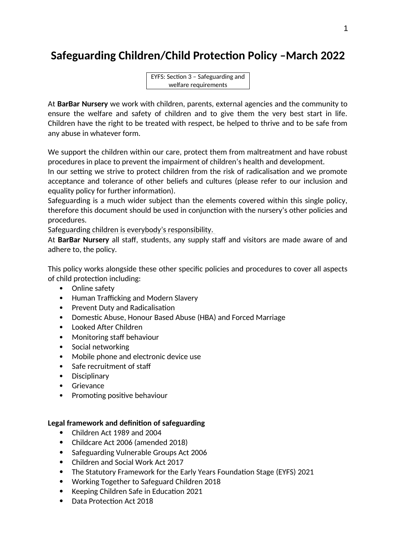# **Safeguarding Children/Child Protection Policy –March 2022**

EYFS: Section 3 – Safeguarding and welfare requirements

At **BarBar Nursery** we work with children, parents, external agencies and the community to ensure the welfare and safety of children and to give them the very best start in life. Children have the right to be treated with respect, be helped to thrive and to be safe from any abuse in whatever form.

We support the children within our care, protect them from maltreatment and have robust procedures in place to prevent the impairment of children's health and development.

In our setting we strive to protect children from the risk of radicalisation and we promote acceptance and tolerance of other beliefs and cultures (please refer to our inclusion and equality policy for further information).

Safeguarding is a much wider subject than the elements covered within this single policy, therefore this document should be used in conjunction with the nursery's other policies and procedures.

Safeguarding children is everybody's responsibility.

At **BarBar Nursery** all staff, students, any supply staff and visitors are made aware of and adhere to, the policy.

This policy works alongside these other specific policies and procedures to cover all aspects of child protection including:

- Online safety
- Human Trafficking and Modern Slavery
- Prevent Duty and Radicalisation
- Domestic Abuse, Honour Based Abuse (HBA) and Forced Marriage
- Looked After Children
- Monitoring staff behaviour
- Social networking
- Mobile phone and electronic device use
- Safe recruitment of staff
- Disciplinary
- Grievance
- Promoting positive behaviour

#### **Legal framework and definition of safeguarding**

- Children Act 1989 and 2004
- Childcare Act 2006 (amended 2018)
- Safeguarding Vulnerable Groups Act 2006
- Children and Social Work Act 2017
- The Statutory Framework for the Early Years Foundation Stage (EYFS) 2021
- Working Together to Safeguard Children 2018
- Keeping Children Safe in Education 2021
- Data Protection Act 2018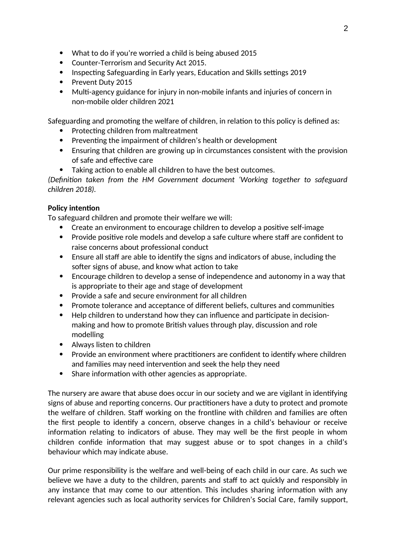- What to do if you're worried a child is being abused 2015
- Counter-Terrorism and Security Act 2015.
- Inspecting Safeguarding in Early years, Education and Skills settings 2019
- Prevent Duty 2015
- Multi-agency guidance for injury in non-mobile infants and injuries of concern in non-mobile older children 2021

Safeguarding and promoting the welfare of children, in relation to this policy is defined as:

- Protecting children from maltreatment
- Preventing the impairment of children's health or development
- Ensuring that children are growing up in circumstances consistent with the provision of safe and effective care
- Taking action to enable all children to have the best outcomes.

*(Definition taken from the HM Government document 'Working together to safeguard children 2018).*

# **Policy intention**

To safeguard children and promote their welfare we will:

- Create an environment to encourage children to develop a positive self-image
- Provide positive role models and develop a safe culture where staff are confident to raise concerns about professional conduct
- Ensure all staff are able to identify the signs and indicators of abuse, including the softer signs of abuse, and know what action to take
- Encourage children to develop a sense of independence and autonomy in a way that is appropriate to their age and stage of development
- Provide a safe and secure environment for all children
- Promote tolerance and acceptance of different beliefs, cultures and communities
- Help children to understand how they can influence and participate in decisionmaking and how to promote British values through play, discussion and role modelling
- Always listen to children
- Provide an environment where practitioners are confident to identify where children and families may need intervention and seek the help they need
- Share information with other agencies as appropriate.

The nursery are aware that abuse does occur in our society and we are vigilant in identifying signs of abuse and reporting concerns. Our practitioners have a duty to protect and promote the welfare of children. Staff working on the frontline with children and families are often the first people to identify a concern, observe changes in a child's behaviour or receive information relating to indicators of abuse. They may well be the first people in whom children confide information that may suggest abuse or to spot changes in a child's behaviour which may indicate abuse.

Our prime responsibility is the welfare and well-being of each child in our care. As such we believe we have a duty to the children, parents and staff to act quickly and responsibly in any instance that may come to our attention. This includes sharing information with any relevant agencies such as local authority services for Children's Social Care, family support,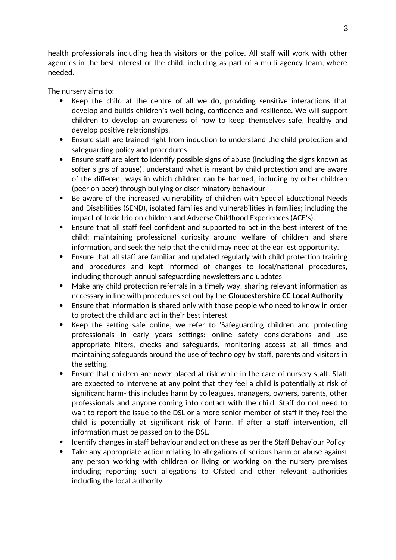health professionals including health visitors or the police. All staff will work with other agencies in the best interest of the child, including as part of a multi-agency team, where needed.

The nursery aims to:

- Keep the child at the centre of all we do, providing sensitive interactions that develop and builds children's well-being, confidence and resilience. We will support children to develop an awareness of how to keep themselves safe, healthy and develop positive relationships.
- Ensure staff are trained right from induction to understand the child protection and safeguarding policy and procedures
- Ensure staff are alert to identify possible signs of abuse (including the signs known as softer signs of abuse), understand what is meant by child protection and are aware of the different ways in which children can be harmed, including by other children (peer on peer) through bullying or discriminatory behaviour
- Be aware of the increased vulnerability of children with Special Educational Needs and Disabilities (SEND), isolated families and vulnerabilities in families; including the impact of toxic trio on children and Adverse Childhood Experiences (ACE's).
- Ensure that all staff feel confident and supported to act in the best interest of the child; maintaining professional curiosity around welfare of children and share information, and seek the help that the child may need at the earliest opportunity.
- Ensure that all staff are familiar and updated regularly with child protection training and procedures and kept informed of changes to local/national procedures, including thorough annual safeguarding newsletters and updates
- Make any child protection referrals in a timely way, sharing relevant information as necessary in line with procedures set out by the **Gloucestershire CC Local Authority**
- Ensure that information is shared only with those people who need to know in order to protect the child and act in their best interest
- Keep the setting safe online, we refer to 'Safeguarding children and protecting professionals in early years settings: online safety considerations and use appropriate filters, checks and safeguards, monitoring access at all times and maintaining safeguards around the use of technology by staff, parents and visitors in the setting.
- Ensure that children are never placed at risk while in the care of nursery staff. Staff are expected to intervene at any point that they feel a child is potentially at risk of significant harm- this includes harm by colleagues, managers, owners, parents, other professionals and anyone coming into contact with the child. Staff do not need to wait to report the issue to the DSL or a more senior member of staff if they feel the child is potentially at significant risk of harm. If after a staff intervention, all information must be passed on to the DSL.
- Identify changes in staff behaviour and act on these as per the Staff Behaviour Policy
- Take any appropriate action relating to allegations of serious harm or abuse against any person working with children or living or working on the nursery premises including reporting such allegations to Ofsted and other relevant authorities including the local authority.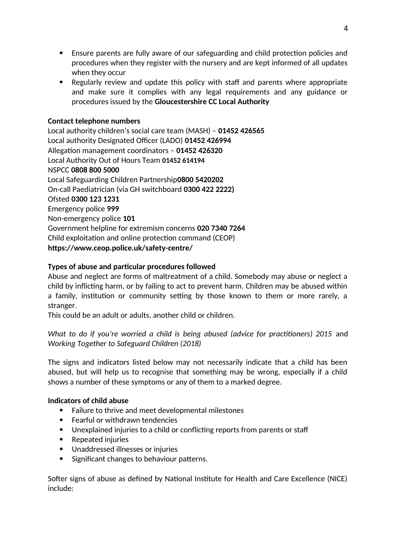- Ensure parents are fully aware of our safeguarding and child protection policies and procedures when they register with the nursery and are kept informed of all updates when they occur
- Regularly review and update this policy with staff and parents where appropriate and make sure it complies with any legal requirements and any guidance or procedures issued by the **Gloucestershire CC Local Authority**

## **Contact telephone numbers**

Local authority children's social care team (MASH) – **01452 426565** Local authority Designated Officer (LADO) **01452 426994** Allegation management coordinators – **01452 426320** Local Authority Out of Hours Team **01452 614194** NSPCC **0808 800 5000** Local Safeguarding Children Partnership**0800 5420202** On-call Paediatrician (via GH switchboard **0300 422 2222)** Ofsted **0300 123 1231** Emergency police **999** Non-emergency police **101**  Government helpline for extremism concerns **020 7340 7264** Child exploitation and online protection command (CEOP) **https://www.ceop.police.uk/safety-centre/**

## **Types of abuse and particular procedures followed**

Abuse and neglect are forms of maltreatment of a child. Somebody may abuse or neglect a child by inflicting harm, or by failing to act to prevent harm. Children may be abused within a family, institution or community setting by those known to them or more rarely, a stranger.

This could be an adult or adults, another child or children.

*What to do if you're worried a child is being abused (advice for practitioners) 2015* and *Working Together to Safeguard Children (2018)*

The signs and indicators listed below may not necessarily indicate that a child has been abused, but will help us to recognise that something may be wrong, especially if a child shows a number of these symptoms or any of them to a marked degree.

#### **Indicators of child abuse**

- Failure to thrive and meet developmental milestones
- Fearful or withdrawn tendencies
- Unexplained injuries to a child or conflicting reports from parents or staff
- Repeated injuries
- Unaddressed illnesses or injuries
- Significant changes to behaviour patterns.

Softer signs of abuse as defined by National Institute for Health and Care Excellence (NICE) include: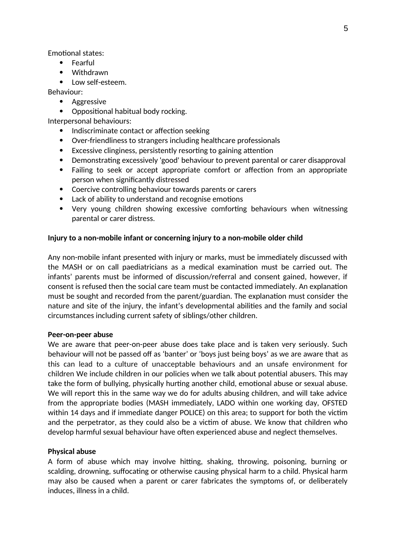Emotional states:

- Fearful
- Withdrawn
- Low self-esteem.

Behaviour:

- Aggressive
- Oppositional habitual body rocking.

Interpersonal behaviours:

- Indiscriminate contact or affection seeking
- Over-friendliness to strangers including healthcare professionals
- Excessive clinginess, persistently resorting to gaining attention
- Demonstrating excessively 'good' behaviour to prevent parental or carer disapproval
- Failing to seek or accept appropriate comfort or affection from an appropriate person when significantly distressed
- Coercive controlling behaviour towards parents or carers
- Lack of ability to understand and recognise emotions
- Very young children showing excessive comforting behaviours when witnessing parental or carer distress.

#### **Injury to a non-mobile infant or concerning injury to a non-mobile older child**

Any non-mobile infant presented with injury or marks, must be immediately discussed with the MASH or on call paediatricians as a medical examination must be carried out. The infants' parents must be informed of discussion/referral and consent gained, however, if consent is refused then the social care team must be contacted immediately. An explanation must be sought and recorded from the parent/guardian. The explanation must consider the nature and site of the injury, the infant's developmental abilities and the family and social circumstances including current safety of siblings/other children.

#### **Peer-on-peer abuse**

We are aware that peer-on-peer abuse does take place and is taken very seriously. Such behaviour will not be passed off as 'banter' or 'boys just being boys' as we are aware that as this can lead to a culture of unacceptable behaviours and an unsafe environment for children We include children in our policies when we talk about potential abusers. This may take the form of bullying, physically hurting another child, emotional abuse or sexual abuse. We will report this in the same way we do for adults abusing children, and will take advice from the appropriate bodies (MASH immediately, LADO within one working day, OFSTED within 14 days and if immediate danger POLICE) on this area; to support for both the victim and the perpetrator, as they could also be a victim of abuse. We know that children who develop harmful sexual behaviour have often experienced abuse and neglect themselves.

#### **Physical abuse**

A form of abuse which may involve hitting, shaking, throwing, poisoning, burning or scalding, drowning, suffocating or otherwise causing physical harm to a child. Physical harm may also be caused when a parent or carer fabricates the symptoms of, or deliberately induces, illness in a child.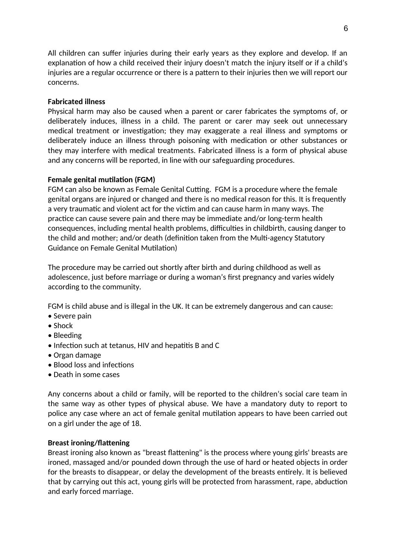All children can suffer injuries during their early years as they explore and develop. If an explanation of how a child received their injury doesn't match the injury itself or if a child's injuries are a regular occurrence or there is a pattern to their injuries then we will report our concerns.

#### **Fabricated illness**

Physical harm may also be caused when a parent or carer fabricates the symptoms of, or deliberately induces, illness in a child. The parent or carer may seek out unnecessary medical treatment or investigation; they may exaggerate a real illness and symptoms or deliberately induce an illness through poisoning with medication or other substances or they may interfere with medical treatments. Fabricated illness is a form of physical abuse and any concerns will be reported, in line with our safeguarding procedures.

## **Female genital mutilation (FGM)**

FGM can also be known as Female Genital Cutting. FGM is a procedure where the female genital organs are injured or changed and there is no medical reason for this. It is frequently a very traumatic and violent act for the victim and can cause harm in many ways. The practice can cause severe pain and there may be immediate and/or long-term health consequences, including mental health problems, difficulties in childbirth, causing danger to the child and mother; and/or death (definition taken from the Multi-agency Statutory Guidance on Female Genital Mutilation)

The procedure may be carried out shortly after birth and during childhood as well as adolescence, just before marriage or during a woman's first pregnancy and varies widely according to the community.

FGM is child abuse and is illegal in the UK. It can be extremely dangerous and can cause:

- Severe pain
- Shock
- Bleeding
- Infection such at tetanus, HIV and hepatitis B and C
- Organ damage
- Blood loss and infections
- Death in some cases

Any concerns about a child or family, will be reported to the children's social care team in the same way as other types of physical abuse. We have a mandatory duty to report to police any case where an act of female genital mutilation appears to have been carried out on a girl under the age of 18.

#### **Breast ironing/flattening**

Breast ironing also known as "breast flattening" is the process where young girls' breasts are ironed, massaged and/or pounded down through the use of hard or heated objects in order for the breasts to disappear, or delay the development of the breasts entirely. It is believed that by carrying out this act, young girls will be protected from harassment, rape, abduction and early forced marriage.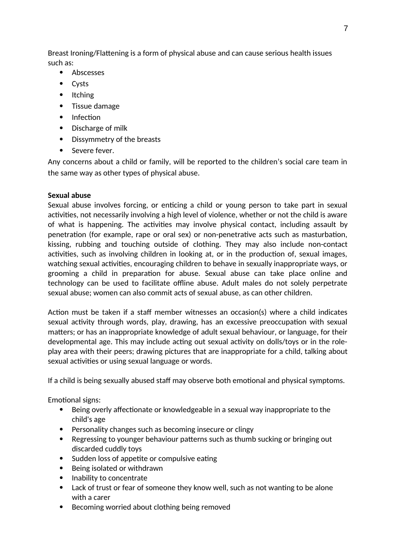Breast Ironing/Flattening is a form of physical abuse and can cause serious health issues such as:

- Abscesses
- Cysts
- Itching
- Tissue damage
- Infection
- Discharge of milk
- Dissymmetry of the breasts
- Severe fever.

Any concerns about a child or family, will be reported to the children's social care team in the same way as other types of physical abuse.

## **Sexual abuse**

Sexual abuse involves forcing, or enticing a child or young person to take part in sexual activities, not necessarily involving a high level of violence, whether or not the child is aware of what is happening. The activities may involve physical contact, including assault by penetration (for example, rape or oral sex) or non-penetrative acts such as masturbation, kissing, rubbing and touching outside of clothing. They may also include non-contact activities, such as involving children in looking at, or in the production of, sexual images, watching sexual activities, encouraging children to behave in sexually inappropriate ways, or grooming a child in preparation for abuse. Sexual abuse can take place online and technology can be used to facilitate offline abuse. Adult males do not solely perpetrate sexual abuse; women can also commit acts of sexual abuse, as can other children.

Action must be taken if a staff member witnesses an occasion(s) where a child indicates sexual activity through words, play, drawing, has an excessive preoccupation with sexual matters; or has an inappropriate knowledge of adult sexual behaviour, or language, for their developmental age. This may include acting out sexual activity on dolls/toys or in the roleplay area with their peers; drawing pictures that are inappropriate for a child, talking about sexual activities or using sexual language or words.

If a child is being sexually abused staff may observe both emotional and physical symptoms.

Emotional signs:

- Being overly affectionate or knowledgeable in a sexual way inappropriate to the child's age
- Personality changes such as becoming insecure or clingy
- Regressing to younger behaviour patterns such as thumb sucking or bringing out discarded cuddly toys
- Sudden loss of appetite or compulsive eating
- Being isolated or withdrawn
- Inability to concentrate
- Lack of trust or fear of someone they know well, such as not wanting to be alone with a carer
- Becoming worried about clothing being removed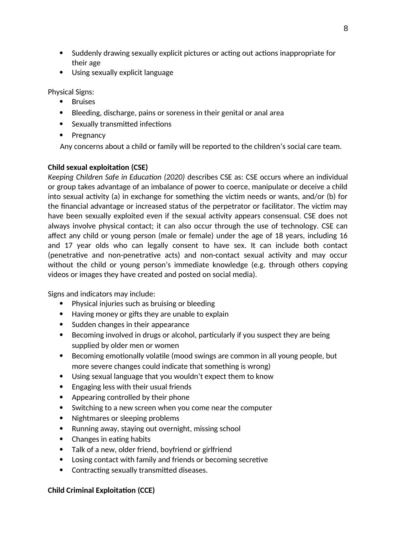- Suddenly drawing sexually explicit pictures or acting out actions inappropriate for their age
- Using sexually explicit language

Physical Signs:

- **•** Bruises
- Bleeding, discharge, pains or soreness in their genital or anal area
- Sexually transmitted infections
- Pregnancy

Any concerns about a child or family will be reported to the children's social care team.

## **Child sexual exploitation (CSE)**

*Keeping Children Safe in Education (2020)* describes CSE as: CSE occurs where an individual or group takes advantage of an imbalance of power to coerce, manipulate or deceive a child into sexual activity (a) in exchange for something the victim needs or wants, and/or (b) for the financial advantage or increased status of the perpetrator or facilitator. The victim may have been sexually exploited even if the sexual activity appears consensual. CSE does not always involve physical contact; it can also occur through the use of technology. CSE can affect any child or young person (male or female) under the age of 18 years, including 16 and 17 year olds who can legally consent to have sex. It can include both contact (penetrative and non-penetrative acts) and non-contact sexual activity and may occur without the child or young person's immediate knowledge (e.g. through others copying videos or images they have created and posted on social media).

Signs and indicators may include:

- Physical injuries such as bruising or bleeding
- Having money or gifts they are unable to explain
- Sudden changes in their appearance
- Becoming involved in drugs or alcohol, particularly if you suspect they are being supplied by older men or women
- Becoming emotionally volatile (mood swings are common in all young people, but more severe changes could indicate that something is wrong)
- Using sexual language that you wouldn't expect them to know
- Engaging less with their usual friends
- Appearing controlled by their phone
- Switching to a new screen when you come near the computer
- Nightmares or sleeping problems
- Running away, staying out overnight, missing school
- Changes in eating habits
- Talk of a new, older friend, boyfriend or girlfriend
- Losing contact with family and friends or becoming secretive
- Contracting sexually transmitted diseases.

## **Child Criminal Exploitation (CCE)**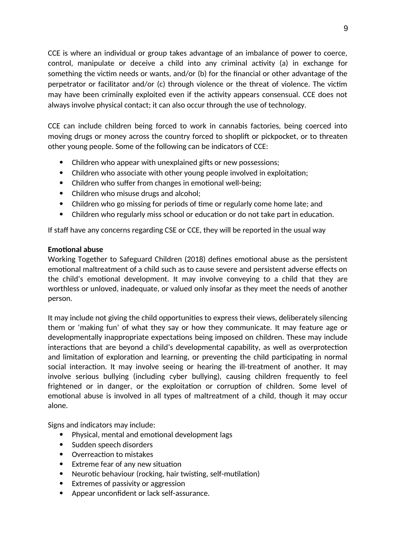CCE is where an individual or group takes advantage of an imbalance of power to coerce, control, manipulate or deceive a child into any criminal activity (a) in exchange for something the victim needs or wants, and/or (b) for the financial or other advantage of the perpetrator or facilitator and/or (c) through violence or the threat of violence. The victim may have been criminally exploited even if the activity appears consensual. CCE does not always involve physical contact; it can also occur through the use of technology.

CCE can include children being forced to work in cannabis factories, being coerced into moving drugs or money across the country forced to shoplift or pickpocket, or to threaten other young people. Some of the following can be indicators of CCE:

- Children who appear with unexplained gifts or new possessions;
- Children who associate with other young people involved in exploitation;
- Children who suffer from changes in emotional well-being;
- Children who misuse drugs and alcohol;
- Children who go missing for periods of time or regularly come home late; and
- Children who regularly miss school or education or do not take part in education.

If staff have any concerns regarding CSE or CCE, they will be reported in the usual way

## **Emotional abuse**

Working Together to Safeguard Children (2018) defines emotional abuse as the persistent emotional maltreatment of a child such as to cause severe and persistent adverse effects on the child's emotional development. It may involve conveying to a child that they are worthless or unloved, inadequate, or valued only insofar as they meet the needs of another person.

It may include not giving the child opportunities to express their views, deliberately silencing them or 'making fun' of what they say or how they communicate. It may feature age or developmentally inappropriate expectations being imposed on children. These may include interactions that are beyond a child's developmental capability, as well as overprotection and limitation of exploration and learning, or preventing the child participating in normal social interaction. It may involve seeing or hearing the ill-treatment of another. It may involve serious bullying (including cyber bullying), causing children frequently to feel frightened or in danger, or the exploitation or corruption of children. Some level of emotional abuse is involved in all types of maltreatment of a child, though it may occur alone.

Signs and indicators may include:

- Physical, mental and emotional development lags
- Sudden speech disorders
- Overreaction to mistakes
- Extreme fear of any new situation
- Neurotic behaviour (rocking, hair twisting, self-mutilation)
- Extremes of passivity or aggression
- Appear unconfident or lack self-assurance.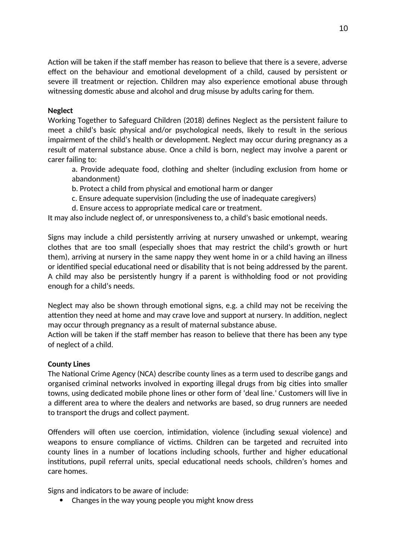Action will be taken if the staff member has reason to believe that there is a severe, adverse effect on the behaviour and emotional development of a child, caused by persistent or severe ill treatment or rejection. Children may also experience emotional abuse through witnessing domestic abuse and alcohol and drug misuse by adults caring for them.

### **Neglect**

Working Together to Safeguard Children (2018) defines Neglect as the persistent failure to meet a child's basic physical and/or psychological needs, likely to result in the serious impairment of the child's health or development. Neglect may occur during pregnancy as a result of maternal substance abuse. Once a child is born, neglect may involve a parent or carer failing to:

a. Provide adequate food, clothing and shelter (including exclusion from home or abandonment)

b. Protect a child from physical and emotional harm or danger

- c. Ensure adequate supervision (including the use of inadequate caregivers)
- d. Ensure access to appropriate medical care or treatment.

It may also include neglect of, or unresponsiveness to, a child's basic emotional needs.

Signs may include a child persistently arriving at nursery unwashed or unkempt, wearing clothes that are too small (especially shoes that may restrict the child's growth or hurt them), arriving at nursery in the same nappy they went home in or a child having an illness or identified special educational need or disability that is not being addressed by the parent. A child may also be persistently hungry if a parent is withholding food or not providing enough for a child's needs.

Neglect may also be shown through emotional signs, e.g. a child may not be receiving the attention they need at home and may crave love and support at nursery. In addition, neglect may occur through pregnancy as a result of maternal substance abuse.

Action will be taken if the staff member has reason to believe that there has been any type of neglect of a child.

#### **County Lines**

The National Crime Agency (NCA) describe county lines as a term used to describe gangs and organised criminal networks involved in exporting illegal drugs from big cities into smaller towns, using dedicated mobile phone lines or other form of 'deal line.' Customers will live in a different area to where the dealers and networks are based, so drug runners are needed to transport the drugs and collect payment.

Offenders will often use coercion, intimidation, violence (including sexual violence) and weapons to ensure compliance of victims. Children can be targeted and recruited into county lines in a number of locations including schools, further and higher educational institutions, pupil referral units, special educational needs schools, children's homes and care homes.

Signs and indicators to be aware of include:

Changes in the way young people you might know dress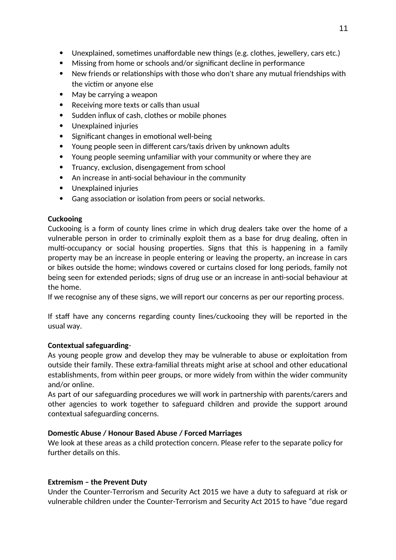- Unexplained, sometimes unaffordable new things (e.g. clothes, jewellery, cars etc.)
- Missing from home or schools and/or significant decline in performance
- New friends or relationships with those who don't share any mutual friendships with the victim or anyone else
- May be carrying a weapon
- Receiving more texts or calls than usual
- Sudden influx of cash, clothes or mobile phones
- Unexplained injuries
- Significant changes in emotional well-being
- Young people seen in different cars/taxis driven by unknown adults
- Young people seeming unfamiliar with your community or where they are
- Truancy, exclusion, disengagement from school
- An increase in anti-social behaviour in the community
- Unexplained injuries
- Gang association or isolation from peers or social networks.

# **Cuckooing**

Cuckooing is a form of county lines crime in which drug dealers take over the home of a vulnerable person in order to criminally exploit them as a base for drug dealing, often in multi-occupancy or social housing properties. Signs that this is happening in a family property may be an increase in people entering or leaving the property, an increase in cars or bikes outside the home; windows covered or curtains closed for long periods, family not being seen for extended periods; signs of drug use or an increase in anti-social behaviour at the home.

If we recognise any of these signs, we will report our concerns as per our reporting process.

If staff have any concerns regarding county lines/cuckooing they will be reported in the usual way.

# **Contextual safeguarding**-

As young people grow and develop they may be vulnerable to abuse or exploitation from outside their family. These extra-familial threats might arise at school and other educational establishments, from within peer groups, or more widely from within the wider community and/or online.

As part of our safeguarding procedures we will work in partnership with parents/carers and other agencies to work together to safeguard children and provide the support around contextual safeguarding concerns.

# **Domestic Abuse / Honour Based Abuse / Forced Marriages**

We look at these areas as a child protection concern. Please refer to the separate policy for further details on this.

# **Extremism – the Prevent Duty**

Under the Counter-Terrorism and Security Act 2015 we have a duty to safeguard at risk or vulnerable children under the Counter-Terrorism and Security Act 2015 to have "due regard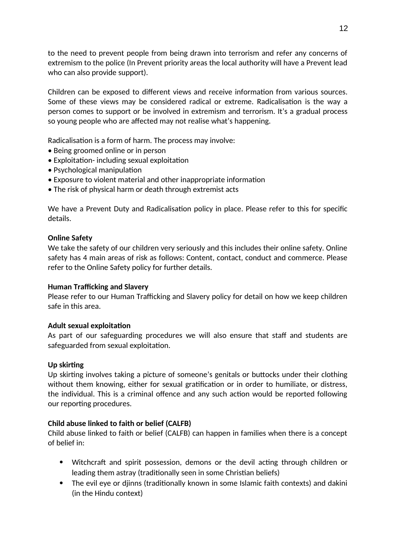to the need to prevent people from being drawn into terrorism and refer any concerns of extremism to the police (In Prevent priority areas the local authority will have a Prevent lead who can also provide support).

Children can be exposed to different views and receive information from various sources. Some of these views may be considered radical or extreme. Radicalisation is the way a person comes to support or be involved in extremism and terrorism. It's a gradual process so young people who are affected may not realise what's happening.

Radicalisation is a form of harm. The process may involve:

- Being groomed online or in person
- Exploitation- including sexual exploitation
- Psychological manipulation
- Exposure to violent material and other inappropriate information
- The risk of physical harm or death through extremist acts

We have a Prevent Duty and Radicalisation policy in place. Please refer to this for specific details.

## **Online Safety**

We take the safety of our children very seriously and this includes their online safety. Online safety has 4 main areas of risk as follows: Content, contact, conduct and commerce. Please refer to the Online Safety policy for further details.

## **Human Trafficking and Slavery**

Please refer to our Human Trafficking and Slavery policy for detail on how we keep children safe in this area.

## **Adult sexual exploitation**

As part of our safeguarding procedures we will also ensure that staff and students are safeguarded from sexual exploitation.

## **Up skirting**

Up skirting involves taking a picture of someone's genitals or buttocks under their clothing without them knowing, either for sexual gratification or in order to humiliate, or distress, the individual. This is a criminal offence and any such action would be reported following our reporting procedures.

## **Child abuse linked to faith or belief (CALFB)**

Child abuse linked to faith or belief (CALFB) can happen in families when there is a concept of belief in:

- Witchcraft and spirit possession, demons or the devil acting through children or leading them astray (traditionally seen in some Christian beliefs)
- The evil eye or djinns (traditionally known in some Islamic faith contexts) and dakini (in the Hindu context)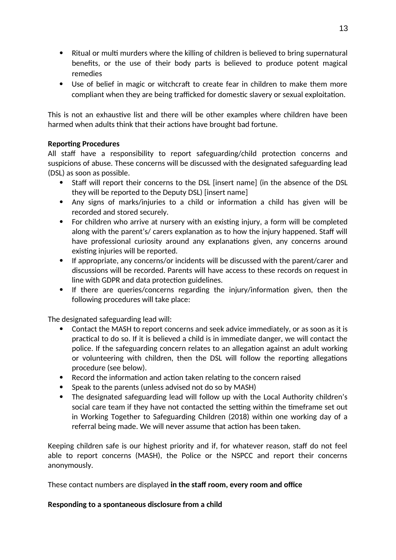- Ritual or multi murders where the killing of children is believed to bring supernatural benefits, or the use of their body parts is believed to produce potent magical remedies
- Use of belief in magic or witchcraft to create fear in children to make them more compliant when they are being trafficked for domestic slavery or sexual exploitation.

This is not an exhaustive list and there will be other examples where children have been harmed when adults think that their actions have brought bad fortune.

## **Reporting Procedures**

All staff have a responsibility to report safeguarding/child protection concerns and suspicions of abuse. These concerns will be discussed with the designated safeguarding lead (DSL) as soon as possible.

- Staff will report their concerns to the DSL [insert name] (in the absence of the DSL they will be reported to the Deputy DSL) [insert name]
- Any signs of marks/injuries to a child or information a child has given will be recorded and stored securely.
- For children who arrive at nursery with an existing injury, a form will be completed along with the parent's/ carers explanation as to how the injury happened. Staff will have professional curiosity around any explanations given, any concerns around existing injuries will be reported.
- If appropriate, any concerns/or incidents will be discussed with the parent/carer and discussions will be recorded. Parents will have access to these records on request in line with GDPR and data protection guidelines.
- If there are queries/concerns regarding the injury/information given, then the following procedures will take place:

The designated safeguarding lead will:

- Contact the MASH to report concerns and seek advice immediately, or as soon as it is practical to do so. If it is believed a child is in immediate danger, we will contact the police. If the safeguarding concern relates to an allegation against an adult working or volunteering with children, then the DSL will follow the reporting allegations procedure (see below).
- Record the information and action taken relating to the concern raised
- Speak to the parents (unless advised not do so by MASH)
- The designated safeguarding lead will follow up with the Local Authority children's social care team if they have not contacted the setting within the timeframe set out in Working Together to Safeguarding Children (2018) within one working day of a referral being made. We will never assume that action has been taken.

Keeping children safe is our highest priority and if, for whatever reason, staff do not feel able to report concerns (MASH), the Police or the NSPCC and report their concerns anonymously.

These contact numbers are displayed **in the staff room, every room and office**

## **Responding to a spontaneous disclosure from a child**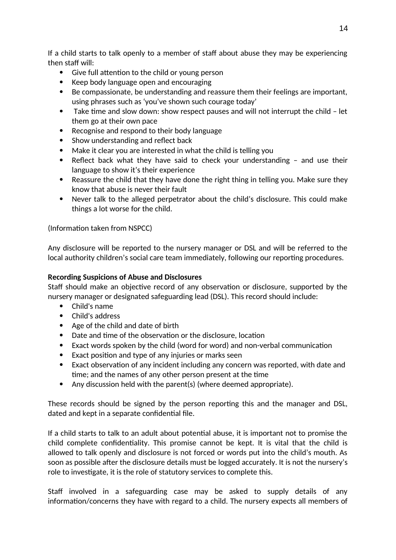If a child starts to talk openly to a member of staff about abuse they may be experiencing then staff will:

- Give full attention to the child or young person
- Keep body language open and encouraging
- Be compassionate, be understanding and reassure them their feelings are important, using phrases such as 'you've shown such courage today'
- Take time and slow down: show respect pauses and will not interrupt the child let them go at their own pace
- Recognise and respond to their body language
- Show understanding and reflect back
- Make it clear you are interested in what the child is telling you
- Reflect back what they have said to check your understanding and use their language to show it's their experience
- Reassure the child that they have done the right thing in telling you. Make sure they know that abuse is never their fault
- Never talk to the alleged perpetrator about the child's disclosure. This could make things a lot worse for the child.

(Information taken from NSPCC)

Any disclosure will be reported to the nursery manager or DSL and will be referred to the local authority children's social care team immediately, following our reporting procedures.

## **Recording Suspicions of Abuse and Disclosures**

Staff should make an objective record of any observation or disclosure, supported by the nursery manager or designated safeguarding lead (DSL). This record should include:

- Child's name
- Child's address
- Age of the child and date of birth
- Date and time of the observation or the disclosure, location
- Exact words spoken by the child (word for word) and non-verbal communication
- Exact position and type of any injuries or marks seen
- Exact observation of any incident including any concern was reported, with date and time; and the names of any other person present at the time
- Any discussion held with the parent(s) (where deemed appropriate).

These records should be signed by the person reporting this and the manager and DSL, dated and kept in a separate confidential file.

If a child starts to talk to an adult about potential abuse, it is important not to promise the child complete confidentiality. This promise cannot be kept. It is vital that the child is allowed to talk openly and disclosure is not forced or words put into the child's mouth. As soon as possible after the disclosure details must be logged accurately. It is not the nursery's role to investigate, it is the role of statutory services to complete this.

Staff involved in a safeguarding case may be asked to supply details of any information/concerns they have with regard to a child. The nursery expects all members of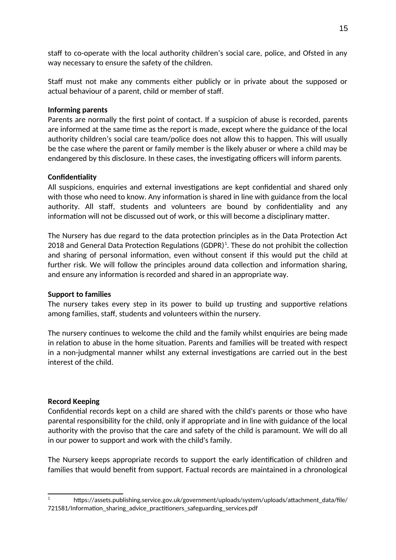staff to co-operate with the local authority children's social care, police, and Ofsted in any way necessary to ensure the safety of the children.

Staff must not make any comments either publicly or in private about the supposed or actual behaviour of a parent, child or member of staff.

### **Informing parents**

Parents are normally the first point of contact. If a suspicion of abuse is recorded, parents are informed at the same time as the report is made, except where the guidance of the local authority children's social care team/police does not allow this to happen. This will usually be the case where the parent or family member is the likely abuser or where a child may be endangered by this disclosure. In these cases, the investigating officers will inform parents.

## **Confidentiality**

All suspicions, enquiries and external investigations are kept confidential and shared only with those who need to know. Any information is shared in line with guidance from the local authority. All staff, students and volunteers are bound by confidentiality and any information will not be discussed out of work, or this will become a disciplinary matter.

The Nursery has due regard to the data protection principles as in the Data Protection Act 20[1](#page-14-0)8 and General Data Protection Regulations (GDPR) $^{\rm 1}$ . These do not prohibit the collection and sharing of personal information, even without consent if this would put the child at further risk. We will follow the principles around data collection and information sharing, and ensure any information is recorded and shared in an appropriate way.

#### **Support to families**

The nursery takes every step in its power to build up trusting and supportive relations among families, staff, students and volunteers within the nursery.

The nursery continues to welcome the child and the family whilst enquiries are being made in relation to abuse in the home situation. Parents and families will be treated with respect in a non-judgmental manner whilst any external investigations are carried out in the best interest of the child.

#### **Record Keeping**

Confidential records kept on a child are shared with the child's parents or those who have parental responsibility for the child, only if appropriate and in line with guidance of the local authority with the proviso that the care and safety of the child is paramount. We will do all in our power to support and work with the child's family.

The Nursery keeps appropriate records to support the early identification of children and families that would benefit from support. Factual records are maintained in a chronological

<span id="page-14-0"></span><sup>&</sup>lt;sup>1</sup> https://assets.publishing.service.gov.uk/government/uploads/system/uploads/attachment\_data/file/ 721581/Information\_sharing\_advice\_practitioners\_safeguarding\_services.pdf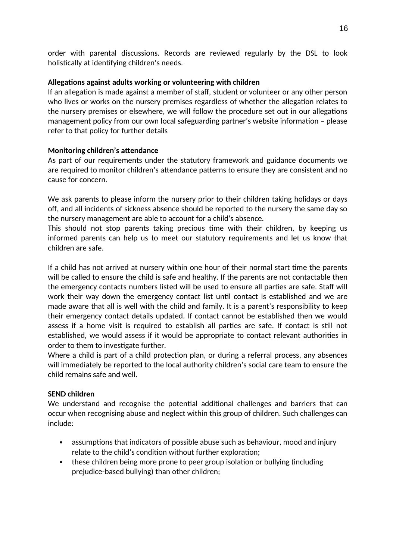order with parental discussions. Records are reviewed regularly by the DSL to look holistically at identifying children's needs.

## **Allegations against adults working or volunteering with children**

If an allegation is made against a member of staff, student or volunteer or any other person who lives or works on the nursery premises regardless of whether the allegation relates to the nursery premises or elsewhere, we will follow the procedure set out in our allegations management policy from our own local safeguarding partner's website information – please refer to that policy for further details

# **Monitoring children's attendance**

As part of our requirements under the statutory framework and guidance documents we are required to monitor children's attendance patterns to ensure they are consistent and no cause for concern.

We ask parents to please inform the nursery prior to their children taking holidays or days off, and all incidents of sickness absence should be reported to the nursery the same day so the nursery management are able to account for a child's absence.

This should not stop parents taking precious time with their children, by keeping us informed parents can help us to meet our statutory requirements and let us know that children are safe.

If a child has not arrived at nursery within one hour of their normal start time the parents will be called to ensure the child is safe and healthy. If the parents are not contactable then the emergency contacts numbers listed will be used to ensure all parties are safe. Staff will work their way down the emergency contact list until contact is established and we are made aware that all is well with the child and family. It is a parent's responsibility to keep their emergency contact details updated. If contact cannot be established then we would assess if a home visit is required to establish all parties are safe. If contact is still not established, we would assess if it would be appropriate to contact relevant authorities in order to them to investigate further.

Where a child is part of a child protection plan, or during a referral process, any absences will immediately be reported to the local authority children's social care team to ensure the child remains safe and well.

## **SEND children**

We understand and recognise the potential additional challenges and barriers that can occur when recognising abuse and neglect within this group of children. Such challenges can include:

- assumptions that indicators of possible abuse such as behaviour, mood and injury relate to the child's condition without further exploration;
- these children being more prone to peer group isolation or bullying (including prejudice-based bullying) than other children;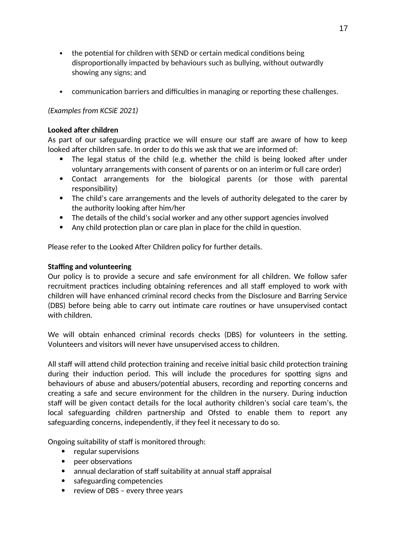- the potential for children with SEND or certain medical conditions being disproportionally impacted by behaviours such as bullying, without outwardly showing any signs; and
- communication barriers and difficulties in managing or reporting these challenges.

## *(Examples from KCSiE 2021)*

### **Looked after children**

As part of our safeguarding practice we will ensure our staff are aware of how to keep looked after children safe. In order to do this we ask that we are informed of:

- The legal status of the child (e.g. whether the child is being looked after under voluntary arrangements with consent of parents or on an interim or full care order)
- Contact arrangements for the biological parents (or those with parental responsibility)
- The child's care arrangements and the levels of authority delegated to the carer by the authority looking after him/her
- The details of the child's social worker and any other support agencies involved
- Any child protection plan or care plan in place for the child in question.

Please refer to the Looked After Children policy for further details.

## **Staffing and volunteering**

Our policy is to provide a secure and safe environment for all children. We follow safer recruitment practices including obtaining references and all staff employed to work with children will have enhanced criminal record checks from the Disclosure and Barring Service (DBS) before being able to carry out intimate care routines or have unsupervised contact with children.

We will obtain enhanced criminal records checks (DBS) for volunteers in the setting. Volunteers and visitors will never have unsupervised access to children.

All staff will attend child protection training and receive initial basic child protection training during their induction period. This will include the procedures for spotting signs and behaviours of abuse and abusers/potential abusers, recording and reporting concerns and creating a safe and secure environment for the children in the nursery. During induction staff will be given contact details for the local authority children's social care team's, the local safeguarding children partnership and Ofsted to enable them to report any safeguarding concerns, independently, if they feel it necessary to do so.

Ongoing suitability of staff is monitored through:

- regular supervisions
- peer observations
- annual declaration of staff suitability at annual staff appraisal
- safeguarding competencies
- review of DBS every three years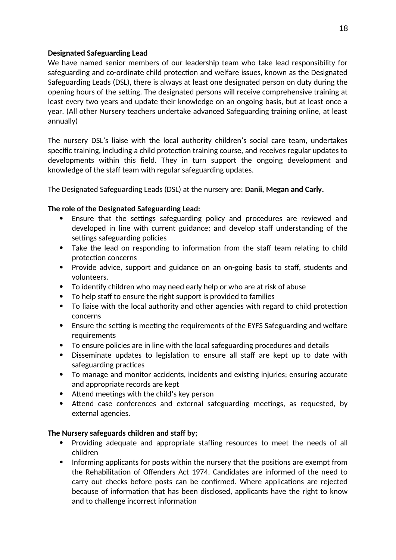## **Designated Safeguarding Lead**

We have named senior members of our leadership team who take lead responsibility for safeguarding and co-ordinate child protection and welfare issues, known as the Designated Safeguarding Leads (DSL), there is always at least one designated person on duty during the opening hours of the setting. The designated persons will receive comprehensive training at least every two years and update their knowledge on an ongoing basis, but at least once a year. (All other Nursery teachers undertake advanced Safeguarding training online, at least annually)

The nursery DSL's liaise with the local authority children's social care team, undertakes specific training, including a child protection training course, and receives regular updates to developments within this field. They in turn support the ongoing development and knowledge of the staff team with regular safeguarding updates.

The Designated Safeguarding Leads (DSL) at the nursery are: **Danii, Megan and Carly.**

## **The role of the Designated Safeguarding Lead:**

- Ensure that the settings safeguarding policy and procedures are reviewed and developed in line with current guidance; and develop staff understanding of the settings safeguarding policies
- Take the lead on responding to information from the staff team relating to child protection concerns
- Provide advice, support and guidance on an on-going basis to staff, students and volunteers.
- To identify children who may need early help or who are at risk of abuse
- To help staff to ensure the right support is provided to families
- To liaise with the local authority and other agencies with regard to child protection concerns
- Ensure the setting is meeting the requirements of the EYFS Safeguarding and welfare requirements
- To ensure policies are in line with the local safeguarding procedures and details
- Disseminate updates to legislation to ensure all staff are kept up to date with safeguarding practices
- To manage and monitor accidents, incidents and existing injuries; ensuring accurate and appropriate records are kept
- Attend meetings with the child's key person
- Attend case conferences and external safeguarding meetings, as requested, by external agencies.

#### **The Nursery safeguards children and staff by;**

- Providing adequate and appropriate staffing resources to meet the needs of all children
- Informing applicants for posts within the nursery that the positions are exempt from the Rehabilitation of Offenders Act 1974. Candidates are informed of the need to carry out checks before posts can be confirmed. Where applications are rejected because of information that has been disclosed, applicants have the right to know and to challenge incorrect information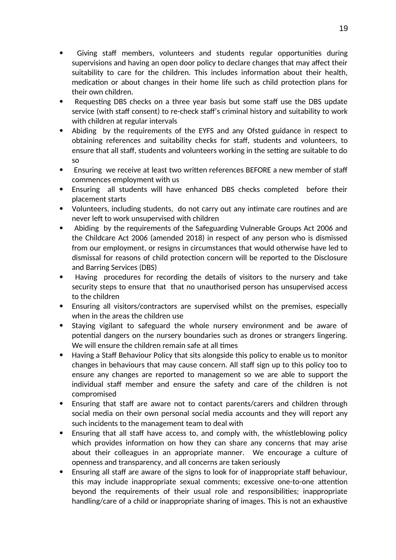- Giving staff members, volunteers and students regular opportunities during supervisions and having an open door policy to declare changes that may affect their suitability to care for the children. This includes information about their health, medication or about changes in their home life such as child protection plans for their own children.
- Requesting DBS checks on a three year basis but some staff use the DBS update service (with staff consent) to re-check staff's criminal history and suitability to work with children at regular intervals
- Abiding by the requirements of the EYFS and any Ofsted guidance in respect to obtaining references and suitability checks for staff, students and volunteers, to ensure that all staff, students and volunteers working in the setting are suitable to do so
- Ensuring we receive at least two written references BEFORE a new member of staff commences employment with us
- Ensuring all students will have enhanced DBS checks completed before their placement starts
- Volunteers, including students, do not carry out any intimate care routines and are never left to work unsupervised with children
- Abiding by the requirements of the Safeguarding Vulnerable Groups Act 2006 and the Childcare Act 2006 (amended 2018) in respect of any person who is dismissed from our employment, or resigns in circumstances that would otherwise have led to dismissal for reasons of child protection concern will be reported to the Disclosure and Barring Services (DBS)
- Having procedures for recording the details of visitors to the nursery and take security steps to ensure that that no unauthorised person has unsupervised access to the children
- Ensuring all visitors/contractors are supervised whilst on the premises, especially when in the areas the children use
- Staying vigilant to safeguard the whole nursery environment and be aware of potential dangers on the nursery boundaries such as drones or strangers lingering. We will ensure the children remain safe at all times
- Having a Staff Behaviour Policy that sits alongside this policy to enable us to monitor changes in behaviours that may cause concern. All staff sign up to this policy too to ensure any changes are reported to management so we are able to support the individual staff member and ensure the safety and care of the children is not compromised
- Ensuring that staff are aware not to contact parents/carers and children through social media on their own personal social media accounts and they will report any such incidents to the management team to deal with
- Ensuring that all staff have access to, and comply with, the whistleblowing policy which provides information on how they can share any concerns that may arise about their colleagues in an appropriate manner. We encourage a culture of openness and transparency, and all concerns are taken seriously
- Ensuring all staff are aware of the signs to look for of inappropriate staff behaviour, this may include inappropriate sexual comments; excessive one-to-one attention beyond the requirements of their usual role and responsibilities; inappropriate handling/care of a child or inappropriate sharing of images. This is not an exhaustive